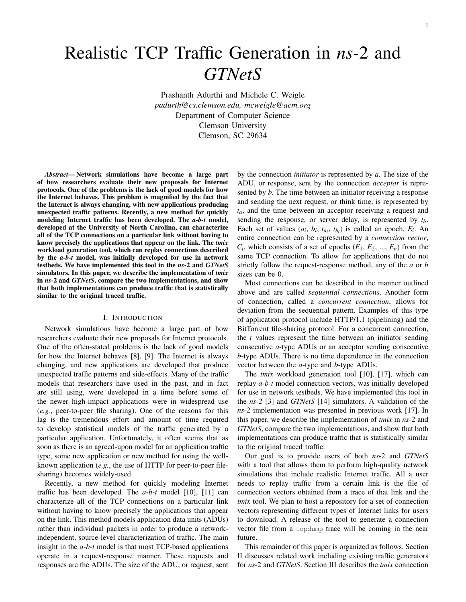# Realistic TCP Traffic Generation in *ns*-2 and *GTNetS*

Prashanth Adurthi and Michele C. Weigle *padurth@cs.clemson.edu, mcweigle@acm.org* Department of Computer Science Clemson University Clemson, SC 29634

*Abstract*— Network simulations have become a large part of how researchers evaluate their new proposals for Internet protocols. One of the problems is the lack of good models for how the Internet behaves. This problem is magnified by the fact that the Internet is always changing, with new applications producing unexpected traffic patterns. Recently, a new method for quickly modeling Internet traffic has been developed. The *a-b-t* model, developed at the University of North Carolina, can characterize all of the TCP connections on a particular link without having to know precisely the applications that appear on the link. The *tmix* workload generation tool, which can replay connections described by the *a-b-t* model, was initially developed for use in network testbeds. We have implemented this tool in the *ns*-2 and *GTNetS* simulators. In this paper, we describe the implementation of *tmix* in *ns*-2 and *GTNetS*, compare the two implementations, and show that both implementations can produce traffic that is statistically similar to the original traced traffic.

#### I. INTRODUCTION

Network simulations have become a large part of how researchers evaluate their new proposals for Internet protocols. One of the often-stated problems is the lack of good models for how the Internet behaves [8], [9]. The Internet is always changing, and new applications are developed that produce unexpected traffic patterns and side-effects. Many of the traffic models that researchers have used in the past, and in fact are still using, were developed in a time before some of the newer high-impact applications were in widespread use (*e.g.*, peer-to-peer file sharing). One of the reasons for this lag is the tremendous effort and amount of time required to develop statistical models of the traffic generated by a particular application. Unfortunately, it often seems that as soon as there is an agreed-upon model for an application traffic type, some new application or new method for using the wellknown application (*e.g.*, the use of HTTP for peer-to-peer filesharing) becomes widely-used.

Recently, a new method for quickly modeling Internet traffic has been developed. The *a-b-t* model [10], [11] can characterize all of the TCP connections on a particular link without having to know precisely the applications that appear on the link. This method models application data units (ADUs) rather than individual packets in order to produce a networkindependent, source-level characterization of traffic. The main insight in the *a-b-t* model is that most TCP-based applications operate in a request-response manner. These requests and responses are the ADUs. The size of the ADU, or request, sent by the connection *initiator* is represented by *a*. The size of the ADU, or response, sent by the connection *acceptor* is represented by *b*. The time between an initiator receiving a response and sending the next request, or think time, is represented by *ta*, and the time between an acceptor receiving a request and sending the response, or server delay, is represented by *tb*. Each set of values  $(a_i, b_i, t_{a_i}, t_{b_i})$  is called an epoch,  $E_i$ . An entire connection can be represented by a *connection vector*,  $C_i$ , which consists of a set of epochs  $(E_1, E_2, ..., E_n)$  from the same TCP connection. To allow for applications that do not strictly follow the request-response method, any of the *a* or *b* sizes can be 0.

Most connections can be described in the manner outlined above and are called *sequential connections*. Another form of connection, called a *concurrent connection*, allows for deviation from the sequential pattern. Examples of this type of application protocol include HTTP/1.1 (pipelining) and the BitTorrent file-sharing protocol. For a concurrent connection, the *t* values represent the time between an initiator sending consecutive *a*-type ADUs or an acceptor sending consecutive *b*-type ADUs. There is no time dependence in the connection vector between the *a*-type and *b*-type ADUs.

The *tmix* workload generation tool [10], [17], which can replay *a-b-t* model connection vectors, was initially developed for use in network testbeds. We have implemented this tool in the *ns-2* [3] and *GTNetS* [14] simulators. A validation of the *ns*-2 implementation was presented in previous work [17]. In this paper, we describe the implementation of *tmix* in *ns*-2 and *GTNetS*, compare the two implementations, and show that both implementations can produce traffic that is statistically similar to the original traced traffic.

Our goal is to provide users of both *ns*-2 and *GTNetS* with a tool that allows them to perform high-quality network simulations that include realistic Internet traffic. All a user needs to replay traffic from a certain link is the file of connection vectors obtained from a trace of that link and the *tmix* tool. We plan to host a repository for a set of connection vectors representing different types of Internet links for users to download. A release of the tool to generate a connection vector file from a tcpdump trace will be coming in the near future.

This remainder of this paper is organized as follows. Section II discusses related work including existing traffic generators for *ns*-2 and *GTNetS*. Section III describes the *tmix* connection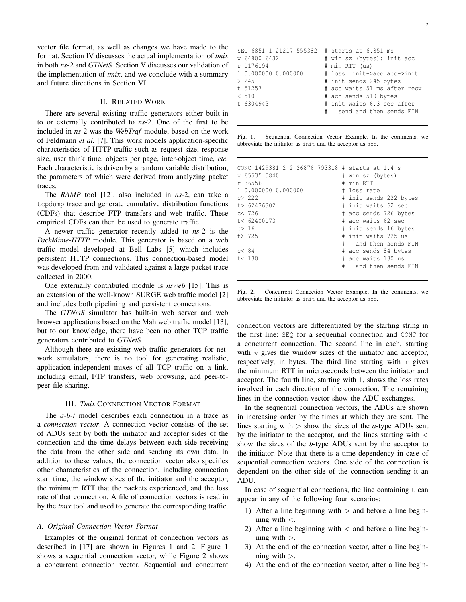vector file format, as well as changes we have made to the format. Section IV discusses the actual implementation of *tmix* in both *ns*-2 and *GTNetS*. Section V discusses our validation of the implementation of *tmix*, and we conclude with a summary and future directions in Section VI.

# II. RELATED WORK

There are several existing traffic generators either built-in to or externally contributed to *ns*-2. One of the first to be included in *ns*-2 was the *WebTraf* module, based on the work of Feldmann *et al.* [7]. This work models application-specific characteristics of HTTP traffic such as request size, response size, user think time, objects per page, inter-object time, *etc.* Each characteristic is driven by a random variable distribution, the parameters of which were derived from analyzing packet traces.

The *RAMP* tool [12], also included in *ns*-2, can take a tcpdump trace and generate cumulative distribution functions (CDFs) that describe FTP transfers and web traffic. These empirical CDFs can then be used to generate traffic.

A newer traffic generator recently added to *ns*-2 is the *PackMime-HTTP* module. This generator is based on a web traffic model developed at Bell Labs [5] which includes persistent HTTP connections. This connection-based model was developed from and validated against a large packet trace collected in 2000.

One externally contributed module is *nsweb* [15]. This is an extension of the well-known SURGE web traffic model [2] and includes both pipelining and persistent connections.

The *GTNetS* simulator has built-in web server and web browser applications based on the Mah web traffic model [13], but to our knowledge, there have been no other TCP traffic generators contributed to *GTNetS*.

Although there are existing web traffic generators for network simulators, there is no tool for generating realistic, application-independent mixes of all TCP traffic on a link, including email, FTP transfers, web browsing, and peer-topeer file sharing.

## III. *Tmix* CONNECTION VECTOR FORMAT

The *a-b-t* model describes each connection in a trace as a *connection vector*. A connection vector consists of the set of ADUs sent by both the initiator and acceptor sides of the connection and the time delays between each side receiving the data from the other side and sending its own data. In addition to these values, the connection vector also specifies other characteristics of the connection, including connection start time, the window sizes of the initiator and the acceptor, the minimum RTT that the packets experienced, and the loss rate of that connection. A file of connection vectors is read in by the *tmix* tool and used to generate the corresponding traffic.

## *A. Original Connection Vector Format*

Examples of the original format of connection vectors as described in [17] are shown in Figures 1 and 2. Figure 1 shows a sequential connection vector, while Figure 2 shows a concurrent connection vector. Sequential and concurrent

| # send and then sends FIN | SEO 6851 1 21217 555382 # starts at 6.851 ms<br>w 64800 6432<br>r 1176194<br>1 0.000000 0.000000<br>> 245<br>t 51257<br>< 510<br>t 6304943 | # win sz (bytes): init acc<br># min RTT (us)<br># loss: init->acc acc->init<br># init sends 245 bytes<br># acc waits 51 ms after recv<br># acc sends 510 bytes<br># init waits 6.3 sec after |
|---------------------------|--------------------------------------------------------------------------------------------------------------------------------------------|----------------------------------------------------------------------------------------------------------------------------------------------------------------------------------------------|
|                           |                                                                                                                                            |                                                                                                                                                                                              |

Fig. 1. Sequential Connection Vector Example. In the comments, we abbreviate the initiator as init and the acceptor as acc.

| CONC 1429381 2 2 26876 793318 # starts at 1.4 s<br>w 65535 5840<br>r 36556 | # win sz (bytes)<br># min RTT |
|----------------------------------------------------------------------------|-------------------------------|
| 1 0.000000 0.000000                                                        | # loss rate                   |
|                                                                            |                               |
| c > 2.2.2                                                                  | # init sends 222 bytes        |
| t > 62436302                                                               | # init waits 62 sec           |
| c< 726                                                                     | # acc sends 726 bytes         |
| t < 62400173                                                               | # acc waits 62 sec            |
| c > 16                                                                     | # init sends 16 bytes         |
| t > 725                                                                    | # init waits 725 us           |
|                                                                            | and then sends FIN            |
| c<84                                                                       | # acc sends 84 bytes          |
| t < 130                                                                    | # acc waits 130 us            |
|                                                                            | # and then sends FIN          |
|                                                                            |                               |

Fig. 2. Concurrent Connection Vector Example. In the comments, we abbreviate the initiator as init and the acceptor as acc.

connection vectors are differentiated by the starting string in the first line: SEQ for a sequential connection and CONC for a concurrent connection. The second line in each, starting with w gives the window sizes of the initiator and acceptor, respectively, in bytes. The third line starting with  $r$  gives the minimum RTT in microseconds between the initiator and acceptor. The fourth line, starting with l, shows the loss rates involved in each direction of the connection. The remaining lines in the connection vector show the ADU exchanges.

In the sequential connection vectors, the ADUs are shown in increasing order by the times at which they are sent. The lines starting with  $>$  show the sizes of the *a*-type ADUs sent by the initiator to the acceptor, and the lines starting with  $\lt$ show the sizes of the *b*-type ADUs sent by the acceptor to the initiator. Note that there is a time dependency in case of sequential connection vectors. One side of the connection is dependent on the other side of the connection sending it an ADU.

In case of sequential connections, the line containing  $t$  can appear in any of the following four scenarios:

- 1) After a line beginning with  $>$  and before a line beginning with  $\lt$ .
- 2) After a line beginning with  $\langle$  and before a line beginning with  $>$ .
- 3) At the end of the connection vector, after a line beginning with  $>$ .
- 4) At the end of the connection vector, after a line begin-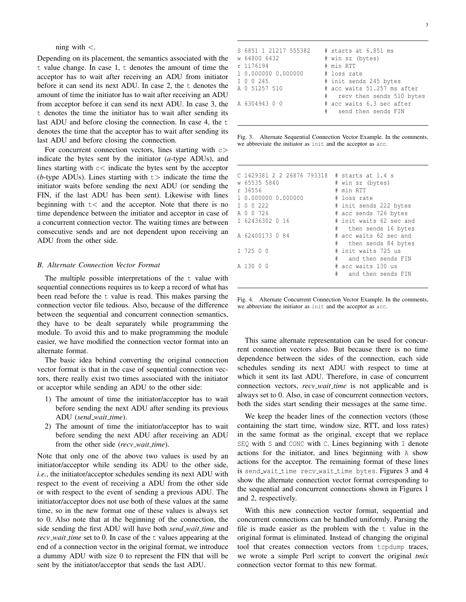ning with  $\lt$ .

Depending on its placement, the semantics associated with the t value change. In case 1, t denotes the amount of time the acceptor has to wait after receiving an ADU from initiator before it can send its next ADU. In case 2, the t denotes the amount of time the initiator has to wait after receiving an ADU from acceptor before it can send its next ADU. In case 3, the t denotes the time the initiator has to wait after sending its last ADU and before closing the connection. In case 4, the t denotes the time that the acceptor has to wait after sending its last ADU and before closing the connection.

For concurrent connection vectors, lines starting with  $c$ indicate the bytes sent by the initiator (*a*-type ADUs), and lines starting with  $c <$  indicate the bytes sent by the acceptor ( $b$ -type ADUs). Lines starting with  $t$  indicate the time the initiator waits before sending the next ADU (or sending the FIN, if the last ADU has been sent). Likewise with lines beginning with  $t <$  and the acceptor. Note that there is no time dependence between the initiator and acceptor in case of a concurrent connection vector. The waiting times are between consecutive sends and are not dependent upon receiving an ADU from the other side.

#### *B. Alternate Connection Vector Format*

The multiple possible interpretations of the t value with sequential connections requires us to keep a record of what has been read before the t value is read. This makes parsing the connection vector file tedious. Also, because of the difference between the sequential and concurrent connection semantics, they have to be dealt separately while programming the module. To avoid this and to make programming the module easier, we have modified the connection vector format into an alternate format.

The basic idea behind converting the original connection vector format is that in the case of sequential connection vectors, there really exist two times associated with the initiator or acceptor while sending an ADU to the other side:

- 1) The amount of time the initiator/acceptor has to wait before sending the next ADU after sending its previous ADU (*send wait time*).
- 2) The amount of time the initiator/acceptor has to wait before sending the next ADU after receiving an ADU from the other side (*recv wait time*).

Note that only one of the above two values is used by an initiator/acceptor while sending its ADU to the other side, *i.e.*, the initiator/acceptor schedules sending its next ADU with respect to the event of receiving a ADU from the other side or with respect to the event of sending a previous ADU. The initiator/acceptor does not use both of these values at the same time, so in the new format one of these values is always set to 0. Also note that at the beginning of the connection, the side sending the first ADU will have both *send wait time* and *recv\_wait\_time* set to 0. In case of the t values appearing at the end of a connection vector in the original format, we introduce a dummy ADU with size 0 to represent the FIN that will be sent by the initiator/acceptor that sends the last ADU.

Fig. 3. Alternate Sequential Connection Vector Example. In the comments, we abbreviate the initiator as init and the acceptor as acc.

Fig. 4. Alternate Concurrent Connection Vector Example. In the comments, we abbreviate the initiator as init and the acceptor as acc.

This same alternate representation can be used for concurrent connection vectors also. But because there is no time dependence between the sides of the connection, each side schedules sending its next ADU with respect to time at which it sent its last ADU. Therefore, in case of concurrent connection vectors, *recv wait time* is not applicable and is always set to 0. Also, in case of concurrent connection vectors, both the sides start sending their messages at the same time.

We keep the header lines of the connection vectors (those containing the start time, window size, RTT, and loss rates) in the same format as the original, except that we replace SEQ with S and CONC with C. Lines beginning with I denote actions for the initiator, and lines beginning with A show actions for the acceptor. The remaining format of these lines is send\_wait\_time recv\_wait\_time bytes. Figures 3 and 4 show the alternate connection vector format corresponding to the sequential and concurrent connections shown in Figures 1 and 2, respectively.

With this new connection vector format, sequential and concurrent connections can be handled uniformly. Parsing the file is made easier as the problem with the t value in the original format is eliminated. Instead of changing the original tool that creates connection vectors from tcpdump traces, we wrote a simple Perl script to convert the original *tmix* connection vector format to this new format.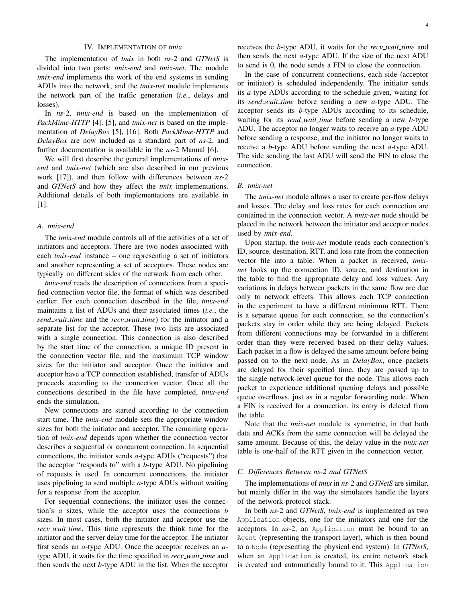#### IV. IMPLEMENTATION OF *tmix*

The implementation of *tmix* in both *ns*-2 and *GTNetS* is divided into two parts: *tmix-end* and *tmix-net*. The module *tmix-end* implements the work of the end systems in sending ADUs into the network, and the *tmix-net* module implements the network part of the traffic generation (*i.e.*, delays and losses).

In *ns*-2, *tmix-end* is based on the implementation of *PackMime-HTTP* [4], [5], and *tmix-net* is based on the implementation of *DelayBox* [5], [16]. Both *PackMime-HTTP* and *DelayBox* are now included as a standard part of *ns*-2, and further documentation is available in the *ns*-2 Manual [6].

We will first describe the general implementations of *tmixend* and *tmix-net* (which are also described in our previous work [17]), and then follow with differences between *ns*-2 and *GTNetS* and how they affect the *tmix* implementations. Additional details of both implementations are available in [1].

## *A. tmix-end*

The *tmix-end* module controls all of the activities of a set of initiators and acceptors. There are two nodes associated with each *tmix-end* instance – one representing a set of initiators and another representing a set of acceptors. These nodes are typically on different sides of the network from each other.

*tmix-end* reads the description of connections from a specified connection vector file, the format of which was described earlier. For each connection described in the file, *tmix-end* maintains a list of ADUs and their associated times (*i.e.*, the *send wait time* and the *recv wait time*) for the initiator and a separate list for the acceptor. These two lists are associated with a single connection. This connection is also described by the start time of the connection, a unique ID present in the connection vector file, and the maximum TCP window sizes for the initiator and acceptor. Once the initiator and acceptor have a TCP connection established, transfer of ADUs proceeds according to the connection vector. Once all the connections described in the file have completed, *tmix-end* ends the simulation.

New connections are started according to the connection start time. The *tmix-end* module sets the appropriate window sizes for both the initiator and acceptor. The remaining operation of *tmix-end* depends upon whether the connection vector describes a sequential or concurrent connection. In sequential connections, the initiator sends *a*-type ADUs ("requests") that the acceptor "responds to" with a *b*-type ADU. No pipelining of requests is used. In concurrent connections, the initiator uses pipelining to send multiple *a*-type ADUs without waiting for a response from the acceptor.

For sequential connections, the initiator uses the connection's *a* sizes, while the acceptor uses the connections *b* sizes. In most cases, both the initiator and acceptor use the *recv wait time*. This time represents the think time for the initiator and the server delay time for the acceptor. The initiator first sends an *a*-type ADU. Once the acceptor receives an *a*type ADU, it waits for the time specified in *recv wait time* and then sends the next *b*-type ADU in the list. When the acceptor receives the *b*-type ADU, it waits for the *recv wait time* and then sends the next *a*-type ADU. If the size of the next ADU to send is 0, the node sends a FIN to close the connection.

In the case of concurrent connections, each side (acceptor or initiator) is scheduled independently. The initiator sends its *a*-type ADUs according to the schedule given, waiting for its *send wait time* before sending a new *a*-type ADU. The acceptor sends its *b*-type ADUs according to its schedule, waiting for its *send wait time* before sending a new *b*-type ADU. The acceptor no longer waits to receive an *a*-type ADU before sending a response, and the initiator no longer waits to receive a *b*-type ADU before sending the next *a*-type ADU. The side sending the last ADU will send the FIN to close the connection.

#### *B. tmix-net*

The *tmix-net* module allows a user to create per-flow delays and losses. The delay and loss rates for each connection are contained in the connection vector. A *tmix-net* node should be placed in the network between the initiator and acceptor nodes used by *tmix-end*.

Upon startup, the *tmix-net* module reads each connection's ID, source, destination, RTT, and loss rate from the connection vector file into a table. When a packet is received, *tmixnet* looks up the connection ID, source, and destination in the table to find the appropriate delay and loss values. Any variations in delays between packets in the same flow are due only to network effects. This allows each TCP connection in the experiment to have a different minimum RTT. There is a separate queue for each connection, so the connection's packets stay in order while they are being delayed. Packets from different connections may be forwarded in a different order than they were received based on their delay values. Each packet in a flow is delayed the same amount before being passed on to the next node. As in *DelayBox*, once packets are delayed for their specified time, they are passed up to the single network-level queue for the node. This allows each packet to experience additional queuing delays and possible queue overflows, just as in a regular forwarding node. When a FIN is received for a connection, its entry is deleted from the table.

Note that the *tmix-net* module is symmetric, in that both data and ACKs from the same connection will be delayed the same amount. Because of this, the delay value in the *tmix-net* table is one-half of the RTT given in the connection vector.

#### *C. Differences Between ns-2 and GTNetS*

The implementations of *tmix* in *ns*-2 and *GTNetS* are similar, but mainly differ in the way the simulators handle the layers of the network protocol stack.

In both *ns*-2 and *GTNetS*, *tmix-end* is implemented as two Application objects, one for the initiators and one for the acceptors. In *ns*-2, an Application must be bound to an Agent (representing the transport layer), which is then bound to a Node (representing the physical end system). In *GTNetS*, when an Application is created, its entire network stack is created and automatically bound to it. This Application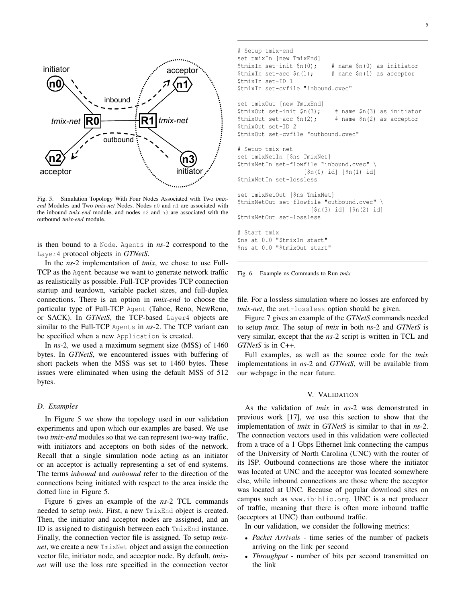

Fig. 5. Simulation Topology With Four Nodes Associated with Two *tmixend* Modules and Two *tmix-net* Nodes. Nodes n0 and n1 are associated with the inbound *tmix-end* module, and nodes n2 and n3 are associated with the outbound *tmix-end* module.

is then bound to a Node. Agents in *ns*-2 correspond to the Layer4 protocol objects in *GTNetS*.

In the *ns*-2 implementation of *tmix*, we chose to use Full-TCP as the Agent because we want to generate network traffic as realistically as possible. Full-TCP provides TCP connection startup and teardown, variable packet sizes, and full-duplex connections. There is an option in *tmix-end* to choose the particular type of Full-TCP Agent (Tahoe, Reno, NewReno, or SACK). In *GTNetS*, the TCP-based Layer4 objects are similar to the Full-TCP Agents in *ns*-2. The TCP variant can be specified when a new Application is created.

In *ns*-2, we used a maximum segment size (MSS) of 1460 bytes. In *GTNetS*, we encountered issues with buffering of short packets when the MSS was set to 1460 bytes. These issues were eliminated when using the default MSS of 512 bytes.

## *D. Examples*

In Figure 5 we show the topology used in our validation experiments and upon which our examples are based. We use two *tmix-end* modules so that we can represent two-way traffic, with initiators and acceptors on both sides of the network. Recall that a single simulation node acting as an initiator or an acceptor is actually representing a set of end systems. The terms *inbound* and *outbound* refer to the direction of the connections being initiated with respect to the area inside the dotted line in Figure 5.

Figure 6 gives an example of the *ns*-2 TCL commands needed to setup *tmix*. First, a new TmixEnd object is created. Then, the initiator and acceptor nodes are assigned, and an ID is assigned to distinguish between each TmixEnd instance. Finally, the connection vector file is assigned. To setup *tmixnet*, we create a new TmixNet object and assign the connection vector file, initiator node, and acceptor node. By default, *tmixnet* will use the loss rate specified in the connection vector

```
# Setup tmix-end
set tmixIn [new TmixEnd]
$tmixIn set-init $n(0); # name $n(0) as initiator
$tmixIn set-acc $n(1); # name $n(1) as acceptor
$tmixIn set-ID 1
$tmixIn set-cvfile "inbound.cvec"
set tmixOut [new TmixEnd]
$tmixOut set-int $n(3); # name $n(3) as initiator<br>$tmixOut set-acc $n(2); # name $n(2) as acceptor
                              # name $n(2) as acceptor
$tmixOut set-ID 2
$tmixOut set-cvfile "outbound.cvec"
# Setup tmix-net
set tmixNetIn [$ns TmixNet]
$tmixNetIn set-flowfile "inbound.cvec" \
                    [$n(0) id] [$n(1) id]
$tmixNetIn set-lossless
set tmixNetOut [$ns TmixNet]
$tmixNetOut set-flowfile "outbound.cvec" \
                      [$n(3) id] [$n(2) id]
$tmixNetOut set-lossless
# Start tmix
$ns at 0.0 "$tmixIn start"
$ns at 0.0 "$tmixOut start"
```


file. For a lossless simulation where no losses are enforced by *tmix-net*, the set-lossless option should be given.

Figure 7 gives an example of the *GTNetS* commands needed to setup *tmix*. The setup of *tmix* in both *ns*-2 and *GTNetS* is very similar, except that the *ns*-2 script is written in TCL and *GTNetS* is in C++.

Full examples, as well as the source code for the *tmix* implementations in *ns*-2 and *GTNetS*, will be available from our webpage in the near future.

# V. VALIDATION

As the validation of *tmix* in *ns*-2 was demonstrated in previous work [17], we use this section to show that the implementation of *tmix* in *GTNetS* is similar to that in *ns*-2. The connection vectors used in this validation were collected from a trace of a 1 Gbps Ethernet link connecting the campus of the University of North Carolina (UNC) with the router of its ISP. Outbound connections are those where the initiator was located at UNC and the acceptor was located somewhere else, while inbound connections are those where the acceptor was located at UNC. Because of popular download sites on campus such as www.ibiblio.org, UNC is a net producer of traffic, meaning that there is often more inbound traffic (acceptors at UNC) than outbound traffic.

In our validation, we consider the following metrics:

- *Packet Arrivals* time series of the number of packets arriving on the link per second
- *Throughput* number of bits per second transmitted on the link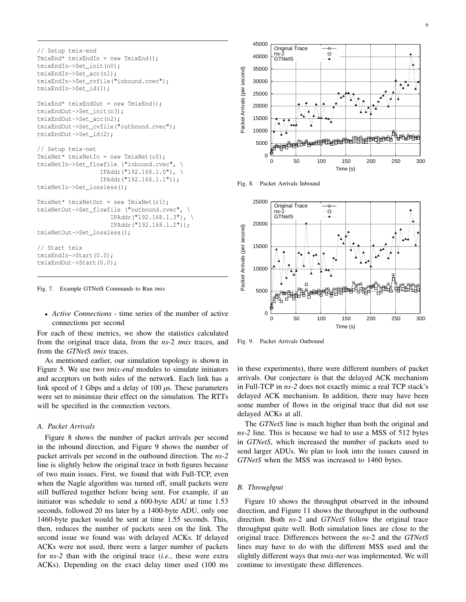```
// Setup tmix-end
TmixEnd* tmixEndIn = new TmixEnd();
tmixEndIn->Set_init(n0);
tmixEndIn->Set_acc(n1);
tmixEndIn->Set_cvfile("inbound.cvec");
tmixEndIn->Set_id(1);
TmixEnd* tmixEndOut = new TmixEnd();
tmixEndOut->Set_init(n3);
tmixEndOut->Set_acc(n2);
tmixEndOut->Set_cvfile("outbound.cvec");
tmixEndOut->Set_id(2);
// Setup tmix-net
TmixNet* tmixNetIn = new TmixNet(r0);tmixNetIn->Set_flowfile ("inbound.cvec", \
                  IPAddr("192.168.1.0"), \
                  IPAddr("192.168.1.1"));
tmixNetIn->Set_lossless();
TmixNet* tmixNetOut = new TmixNet(r1);tmixNetOut->Set_flowfile ("outbound.cvec", \
                     IPAddr("192.168.1.3"), \
                     IPAddr("192.168.1.2"));
tmixNetOut->Set_lossless();
// Start tmix
tmixEndIn->Start(0.0);
tmixEndOut->Start(0.0);
```
Fig. 7. Example GTNetS Commands to Run *tmix*

• *Active Connections* - time series of the number of active connections per second

For each of these metrics, we show the statistics calculated from the original trace data, from the *ns*-2 *tmix* traces, and from the *GTNetS tmix* traces.

As mentioned earlier, our simulation topology is shown in Figure 5. We use two *tmix-end* modules to simulate initiators and acceptors on both sides of the network. Each link has a link speed of 1 Gbps and a delay of 100 *µ*s. These parameters were set to minimize their effect on the simulation. The RTTs will be specified in the connection vectors.

# *A. Packet Arrivals*

Figure 8 shows the number of packet arrivals per second in the inbound direction, and Figure 9 shows the number of packet arrivals per second in the outbound direction. The *ns-2* line is slightly below the original trace in both figures because of two main issues. First, we found that with Full-TCP, even when the Nagle algorithm was turned off, small packets were still buffered together before being sent. For example, if an initiator was schedule to send a 600-byte ADU at time 1.53 seconds, followed 20 ms later by a 1400-byte ADU, only one 1460-byte packet would be sent at time 1.55 seconds. This, then, reduces the number of packets seen on the link. The second issue we found was with delayed ACKs. If delayed ACKs were not used, there were a larger number of packets for *ns-2* than with the original trace (*i.e.*, these were extra ACKs). Depending on the exact delay timer used (100 ms



Fig. 8. Packet Arrivals Inbound



Fig. 9. Packet Arrivals Outbound

in these experiments), there were different numbers of packet arrivals. Our conjecture is that the delayed ACK mechanism in Full-TCP in *ns-2* does not exactly mimic a real TCP stack's delayed ACK mechanism. In addition, there may have been some number of flows in the original trace that did not use delayed ACKs at all.

The *GTNetS* line is much higher than both the original and *ns-2* line. This is because we had to use a MSS of 512 bytes in *GTNetS*, which increased the number of packets used to send larger ADUs. We plan to look into the issues caused in *GTNetS* when the MSS was increased to 1460 bytes.

### *B. Throughput*

Figure 10 shows the throughput observed in the inbound direction, and Figure 11 shows the throughput in the outbound direction. Both *ns*-2 and *GTNetS* follow the original trace throughput quite well. Both simulation lines are close to the original trace. Differences between the *ns*-2 and the *GTNetS* lines may have to do with the different MSS used and the slightly different ways that *tmix-net* was implemented. We will continue to investigate these differences.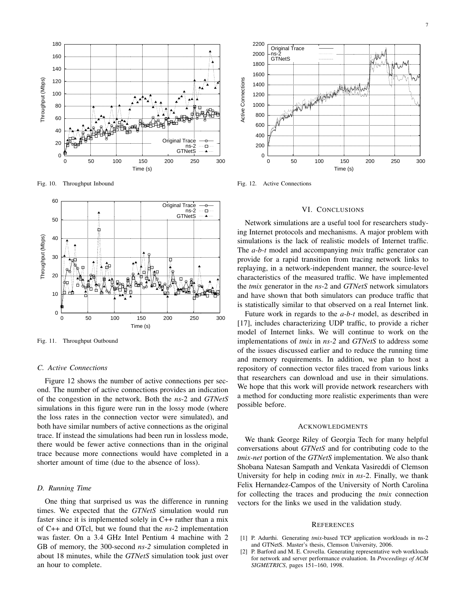

Fig. 10. Throughput Inbound



Fig. 11. Throughput Outbound

## *C. Active Connections*

Figure 12 shows the number of active connections per second. The number of active connections provides an indication of the congestion in the network. Both the *ns*-2 and *GTNetS* simulations in this figure were run in the lossy mode (where the loss rates in the connection vector were simulated), and both have similar numbers of active connections as the original trace. If instead the simulations had been run in lossless mode, there would be fewer active connections than in the original trace because more connections would have completed in a shorter amount of time (due to the absence of loss).

### *D. Running Time*

One thing that surprised us was the difference in running times. We expected that the *GTNetS* simulation would run faster since it is implemented solely in C++ rather than a mix of C++ and OTcl, but we found that the *ns*-2 implementation was faster. On a 3.4 GHz Intel Pentium 4 machine with 2 GB of memory, the 300-second *ns-2* simulation completed in about 18 minutes, while the *GTNetS* simulation took just over an hour to complete.



Fig. 12. Active Connections

#### VI. CONCLUSIONS

Network simulations are a useful tool for researchers studying Internet protocols and mechanisms. A major problem with simulations is the lack of realistic models of Internet traffic. The *a-b-t* model and accompanying *tmix* traffic generator can provide for a rapid transition from tracing network links to replaying, in a network-independent manner, the source-level characteristics of the measured traffic. We have implemented the *tmix* generator in the *ns*-2 and *GTNetS* network simulators and have shown that both simulators can produce traffic that is statistically similar to that observed on a real Internet link.

Future work in regards to the *a-b-t* model, as described in [17], includes characterizing UDP traffic, to provide a richer model of Internet links. We will continue to work on the implementations of *tmix* in *ns-2* and *GTNetS* to address some of the issues discussed earlier and to reduce the running time and memory requirements. In addition, we plan to host a repository of connection vector files traced from various links that researchers can download and use in their simulations. We hope that this work will provide network researchers with a method for conducting more realistic experiments than were possible before.

#### **ACKNOWLEDGMENTS**

We thank George Riley of Georgia Tech for many helpful conversations about *GTNetS* and for contributing code to the *tmix-net* portion of the *GTNetS* implementation. We also thank Shobana Natesan Sampath and Venkata Vasireddi of Clemson University for help in coding *tmix* in *ns*-2. Finally, we thank Felix Hernandez-Campos of the University of North Carolina for collecting the traces and producing the *tmix* connection vectors for the links we used in the validation study.

#### **REFERENCES**

- [1] P. Adurthi. Generating *tmix*-based TCP application workloads in ns-2 and GTNetS. Master's thesis, Clemson University, 2006.
- P. Barford and M. E. Crovella. Generating representative web workloads for network and server performance evaluation. In *Proceedings of ACM SIGMETRICS*, pages 151–160, 1998.